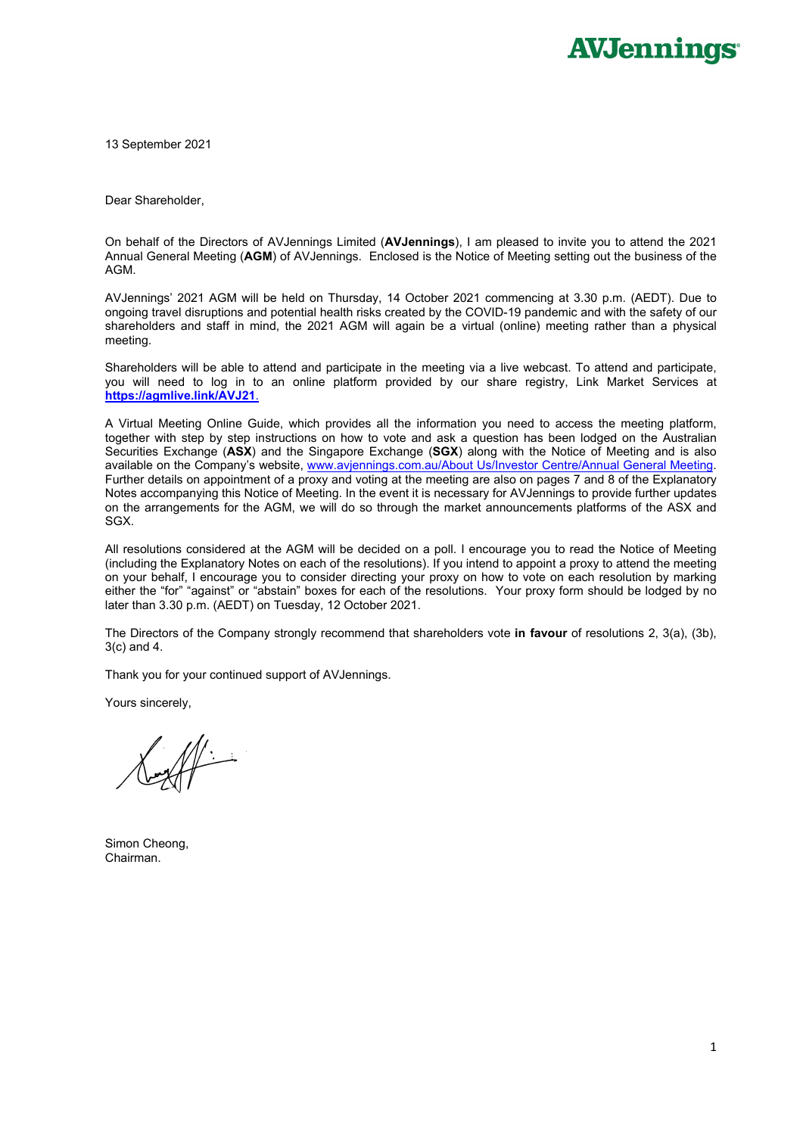13 September 2021

Dear Shareholder,

On behalf of the Directors of AVJennings Limited (**AVJennings**), I am pleased to invite you to attend the 2021 Annual General Meeting (**AGM**) of AVJennings. Enclosed is the Notice of Meeting setting out the business of the AGM.

AVJennings' 2021 AGM will be held on Thursday, 14 October 2021 commencing at 3.30 p.m. (AEDT). Due to ongoing travel disruptions and potential health risks created by the COVID-19 pandemic and with the safety of our shareholders and staff in mind, the 2021 AGM will again be a virtual (online) meeting rather than a physical meeting.

Shareholders will be able to attend and participate in the meeting via a live webcast. To attend and participate, you will need to log in to an online platform provided by our share registry, Link Market Services at **https://agmlive.link/AVJ21**.

A Virtual Meeting Online Guide, which provides all the information you need to access the meeting platform, together with step by step instructions on how to vote and ask a question has been lodged on the Australian Securities Exchange (**ASX**) and the Singapore Exchange (**SGX**) along with the Notice of Meeting and is also available on the Company's website, www.avjennings.com.au/About Us/Investor Centre/Annual General Meeting. Further details on appointment of a proxy and voting at the meeting are also on pages 7 and 8 of the Explanatory Notes accompanying this Notice of Meeting. In the event it is necessary for AVJennings to provide further updates on the arrangements for the AGM, we will do so through the market announcements platforms of the ASX and SGX.

All resolutions considered at the AGM will be decided on a poll. I encourage you to read the Notice of Meeting (including the Explanatory Notes on each of the resolutions). If you intend to appoint a proxy to attend the meeting on your behalf, I encourage you to consider directing your proxy on how to vote on each resolution by marking either the "for" "against" or "abstain" boxes for each of the resolutions. Your proxy form should be lodged by no later than 3.30 p.m. (AEDT) on Tuesday, 12 October 2021.

The Directors of the Company strongly recommend that shareholders vote **in favour** of resolutions 2, 3(a), (3b), 3(c) and 4.

Thank you for your continued support of AVJennings.

Yours sincerely,

Simon Cheong, Chairman.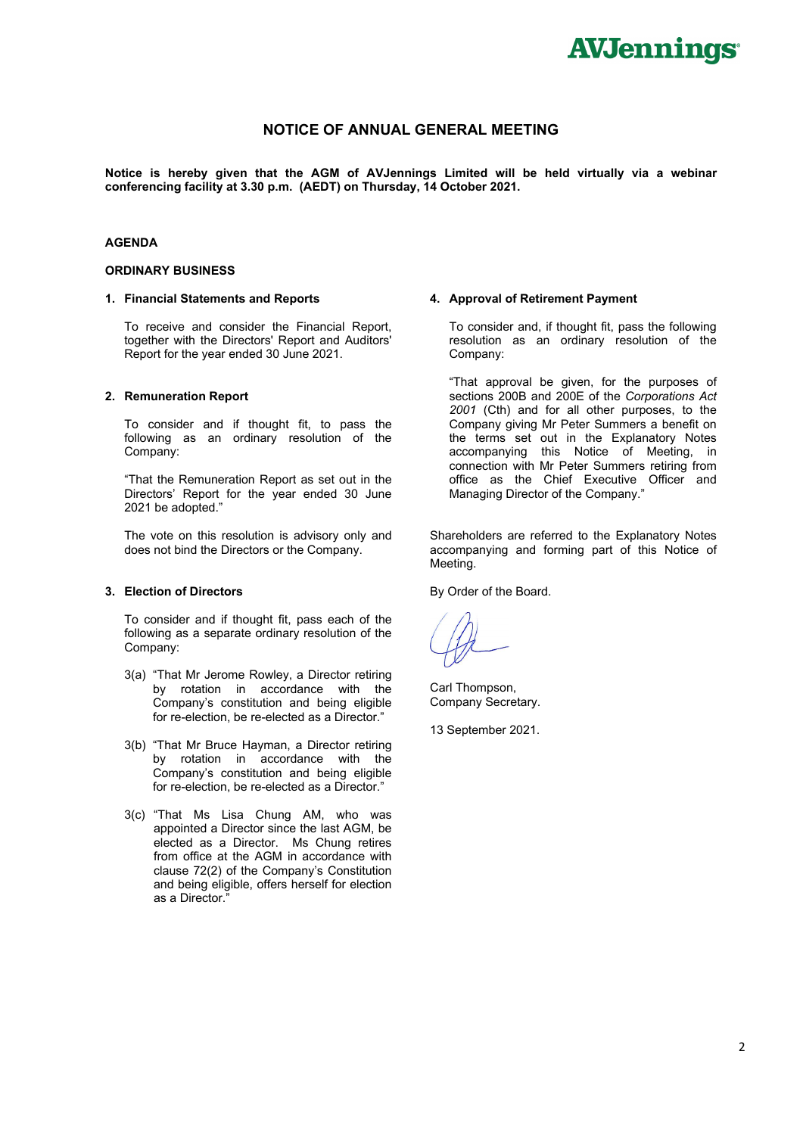### **NOTICE OF ANNUAL GENERAL MEETING**

**Notice is hereby given that the AGM of AVJennings Limited will be held virtually via a webinar conferencing facility at 3.30 p.m. (AEDT) on Thursday, 14 October 2021.** 

#### **AGENDA**

#### **ORDINARY BUSINESS**

#### **1. Financial Statements and Reports**

To receive and consider the Financial Report, together with the Directors' Report and Auditors' Report for the year ended 30 June 2021.

#### **2. Remuneration Report**

 To consider and if thought fit, to pass the following as an ordinary resolution of the Company:

 "That the Remuneration Report as set out in the Directors' Report for the year ended 30 June 2021 be adopted."

 The vote on this resolution is advisory only and does not bind the Directors or the Company.

#### **3. Election of Directors**

 To consider and if thought fit, pass each of the following as a separate ordinary resolution of the Company:

- 3(a) "That Mr Jerome Rowley, a Director retiring by rotation in accordance with the Company's constitution and being eligible for re-election, be re-elected as a Director."
- 3(b) "That Mr Bruce Hayman, a Director retiring by rotation in accordance with the Company's constitution and being eligible for re-election, be re-elected as a Director."
- 3(c) "That Ms Lisa Chung AM, who was appointed a Director since the last AGM, be elected as a Director. Ms Chung retires from office at the AGM in accordance with clause 72(2) of the Company's Constitution and being eligible, offers herself for election as a Director."

#### **4. Approval of Retirement Payment**

To consider and, if thought fit, pass the following resolution as an ordinary resolution of the Company:

"That approval be given, for the purposes of sections 200B and 200E of the *Corporations Act 2001* (Cth) and for all other purposes, to the Company giving Mr Peter Summers a benefit on the terms set out in the Explanatory Notes accompanying this Notice of Meeting, in connection with Mr Peter Summers retiring from office as the Chief Executive Officer and Managing Director of the Company."

Shareholders are referred to the Explanatory Notes accompanying and forming part of this Notice of Meeting.

By Order of the Board.

Carl Thompson, Company Secretary.

13 September 2021.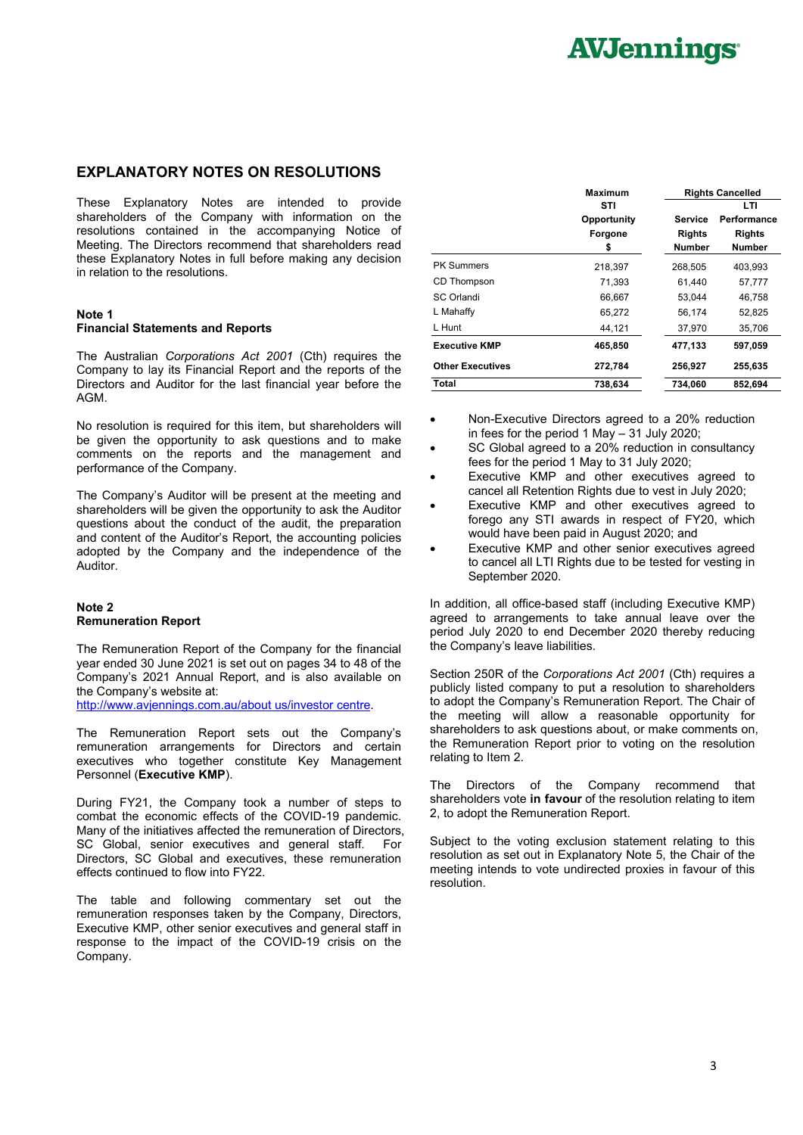### **EXPLANATORY NOTES ON RESOLUTIONS**

These Explanatory Notes are intended to provide shareholders of the Company with information on the resolutions contained in the accompanying Notice of Meeting. The Directors recommend that shareholders read these Explanatory Notes in full before making any decision in relation to the resolutions.

#### **Note 1 Financial Statements and Reports**

The Australian *Corporations Act 2001* (Cth) requires the Company to lay its Financial Report and the reports of the Directors and Auditor for the last financial year before the AGM.

No resolution is required for this item, but shareholders will be given the opportunity to ask questions and to make comments on the reports and the management and performance of the Company.

The Company's Auditor will be present at the meeting and shareholders will be given the opportunity to ask the Auditor questions about the conduct of the audit, the preparation and content of the Auditor's Report, the accounting policies adopted by the Company and the independence of the Auditor.

#### **Note 2 Remuneration Report**

The Remuneration Report of the Company for the financial year ended 30 June 2021 is set out on pages 34 to 48 of the Company's 2021 Annual Report, and is also available on the Company's website at:

http://www.avjennings.com.au/about us/investor centre.

The Remuneration Report sets out the Company's remuneration arrangements for Directors and certain executives who together constitute Key Management Personnel (**Executive KMP**).

During FY21, the Company took a number of steps to combat the economic effects of the COVID-19 pandemic. Many of the initiatives affected the remuneration of Directors, SC Global, senior executives and general staff. For Directors, SC Global and executives, these remuneration effects continued to flow into FY22.

The table and following commentary set out the remuneration responses taken by the Company, Directors, Executive KMP, other senior executives and general staff in response to the impact of the COVID-19 crisis on the Company.

|                         | Maximum     | <b>Rights Cancelled</b> |               |  |
|-------------------------|-------------|-------------------------|---------------|--|
|                         | STI         |                         | LTI           |  |
|                         | Opportunity | Service                 | Performance   |  |
|                         | Forgone     | <b>Rights</b>           | <b>Rights</b> |  |
|                         | \$          | <b>Number</b>           | <b>Number</b> |  |
| <b>PK Summers</b>       | 218,397     | 268,505                 | 403.993       |  |
| CD Thompson             | 71,393      | 61,440                  | 57.777        |  |
| SC Orlandi              | 66.667      | 53.044                  | 46.758        |  |
| L Mahaffy               | 65,272      | 56,174                  | 52.825        |  |
| L Hunt                  | 44,121      | 37,970                  | 35,706        |  |
| <b>Executive KMP</b>    | 465,850     | 477,133                 | 597,059       |  |
| <b>Other Executives</b> | 272,784     | 256,927                 | 255,635       |  |
| Total                   | 738.634     | 734.060                 | 852.694       |  |

- Non-Executive Directors agreed to a 20% reduction in fees for the period 1 May – 31 July 2020;
- SC Global agreed to a 20% reduction in consultancy fees for the period 1 May to 31 July 2020;
- Executive KMP and other executives agreed to cancel all Retention Rights due to vest in July 2020;
- Executive KMP and other executives agreed to forego any STI awards in respect of FY20, which would have been paid in August 2020; and
- Executive KMP and other senior executives agreed to cancel all LTI Rights due to be tested for vesting in September 2020.

In addition, all office-based staff (including Executive KMP) agreed to arrangements to take annual leave over the period July 2020 to end December 2020 thereby reducing the Company's leave liabilities.

Section 250R of the *Corporations Act 2001* (Cth) requires a publicly listed company to put a resolution to shareholders to adopt the Company's Remuneration Report. The Chair of the meeting will allow a reasonable opportunity for shareholders to ask questions about, or make comments on, the Remuneration Report prior to voting on the resolution relating to Item 2.

The Directors of the Company recommend that shareholders vote **in favour** of the resolution relating to item 2, to adopt the Remuneration Report.

Subject to the voting exclusion statement relating to this resolution as set out in Explanatory Note 5, the Chair of the meeting intends to vote undirected proxies in favour of this resolution.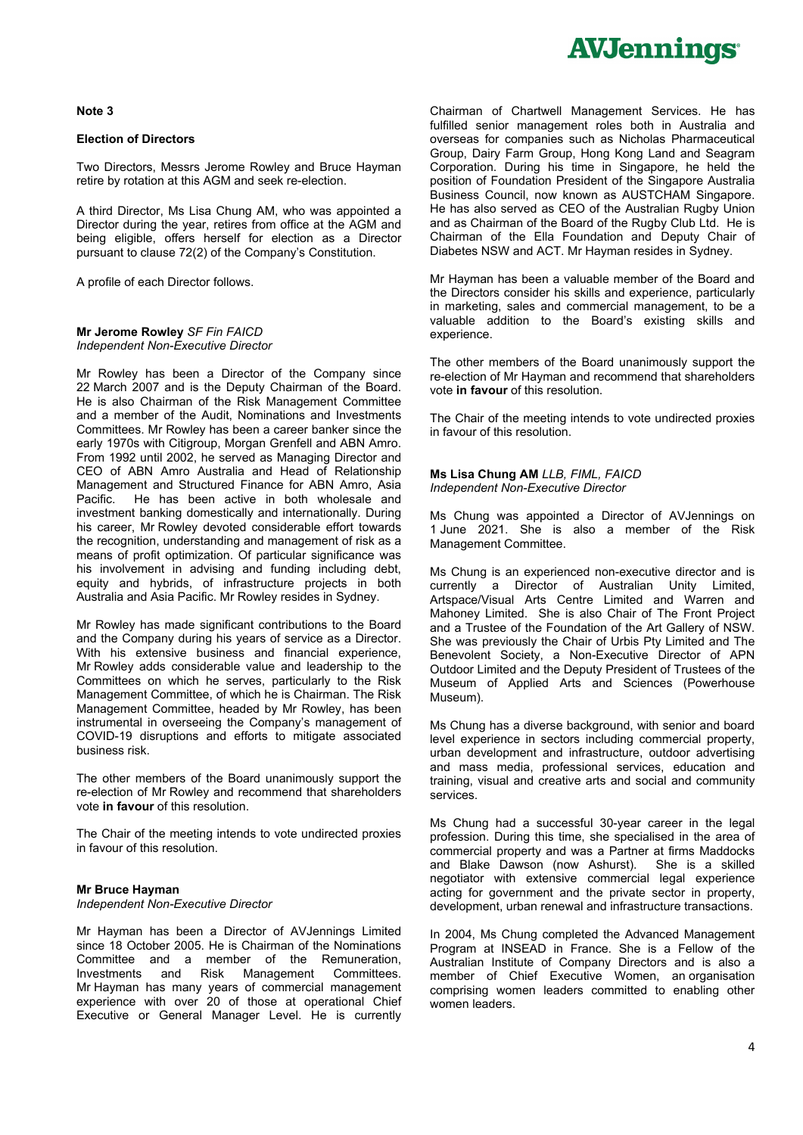#### **Note 3**

#### **Election of Directors**

Two Directors, Messrs Jerome Rowley and Bruce Hayman retire by rotation at this AGM and seek re-election.

A third Director, Ms Lisa Chung AM, who was appointed a Director during the year, retires from office at the AGM and being eligible, offers herself for election as a Director pursuant to clause 72(2) of the Company's Constitution.

A profile of each Director follows.

#### **Mr Jerome Rowley** *SF Fin FAICD Independent Non-Executive Director*

Mr Rowley has been a Director of the Company since 22 March 2007 and is the Deputy Chairman of the Board. He is also Chairman of the Risk Management Committee and a member of the Audit, Nominations and Investments Committees. Mr Rowley has been a career banker since the early 1970s with Citigroup, Morgan Grenfell and ABN Amro. From 1992 until 2002, he served as Managing Director and CEO of ABN Amro Australia and Head of Relationship Management and Structured Finance for ABN Amro, Asia Pacific. He has been active in both wholesale and investment banking domestically and internationally. During his career, Mr Rowley devoted considerable effort towards the recognition, understanding and management of risk as a means of profit optimization. Of particular significance was his involvement in advising and funding including debt, equity and hybrids, of infrastructure projects in both Australia and Asia Pacific. Mr Rowley resides in Sydney.

Mr Rowley has made significant contributions to the Board and the Company during his years of service as a Director. With his extensive business and financial experience, Mr Rowley adds considerable value and leadership to the Committees on which he serves, particularly to the Risk Management Committee, of which he is Chairman. The Risk Management Committee, headed by Mr Rowley, has been instrumental in overseeing the Company's management of COVID-19 disruptions and efforts to mitigate associated business risk.

The other members of the Board unanimously support the re-election of Mr Rowley and recommend that shareholders vote **in favour** of this resolution.

The Chair of the meeting intends to vote undirected proxies in favour of this resolution.

#### **Mr Bruce Hayman**

*Independent Non-Executive Director* 

Mr Hayman has been a Director of AVJennings Limited since 18 October 2005. He is Chairman of the Nominations Committee and a member of the Remuneration, Investments and Risk Management Committees. Mr Hayman has many years of commercial management experience with over 20 of those at operational Chief Executive or General Manager Level. He is currently

Chairman of Chartwell Management Services. He has fulfilled senior management roles both in Australia and overseas for companies such as Nicholas Pharmaceutical Group, Dairy Farm Group, Hong Kong Land and Seagram Corporation. During his time in Singapore, he held the position of Foundation President of the Singapore Australia Business Council, now known as AUSTCHAM Singapore. He has also served as CEO of the Australian Rugby Union and as Chairman of the Board of the Rugby Club Ltd. He is Chairman of the Ella Foundation and Deputy Chair of Diabetes NSW and ACT. Mr Hayman resides in Sydney.

Mr Hayman has been a valuable member of the Board and the Directors consider his skills and experience, particularly in marketing, sales and commercial management, to be a valuable addition to the Board's existing skills and experience.

The other members of the Board unanimously support the re-election of Mr Hayman and recommend that shareholders vote **in favour** of this resolution.

The Chair of the meeting intends to vote undirected proxies in favour of this resolution.

**Ms Lisa Chung AM** *LLB, FIML, FAICD Independent Non-Executive Director* 

Ms Chung was appointed a Director of AVJennings on 1 June 2021. She is also a member of the Risk Management Committee.

Ms Chung is an experienced non-executive director and is currently a Director of Australian Unity Limited, Artspace/Visual Arts Centre Limited and Warren and Mahoney Limited. She is also Chair of The Front Project and a Trustee of the Foundation of the Art Gallery of NSW. She was previously the Chair of Urbis Pty Limited and The Benevolent Society, a Non-Executive Director of APN Outdoor Limited and the Deputy President of Trustees of the Museum of Applied Arts and Sciences (Powerhouse Museum).

Ms Chung has a diverse background, with senior and board level experience in sectors including commercial property, urban development and infrastructure, outdoor advertising and mass media, professional services, education and training, visual and creative arts and social and community services.

Ms Chung had a successful 30-year career in the legal profession. During this time, she specialised in the area of commercial property and was a Partner at firms Maddocks and Blake Dawson (now Ashurst). She is a skilled negotiator with extensive commercial legal experience acting for government and the private sector in property, development, urban renewal and infrastructure transactions.

In 2004, Ms Chung completed the Advanced Management Program at INSEAD in France. She is a Fellow of the Australian Institute of Company Directors and is also a member of Chief Executive Women, an organisation comprising women leaders committed to enabling other women leaders.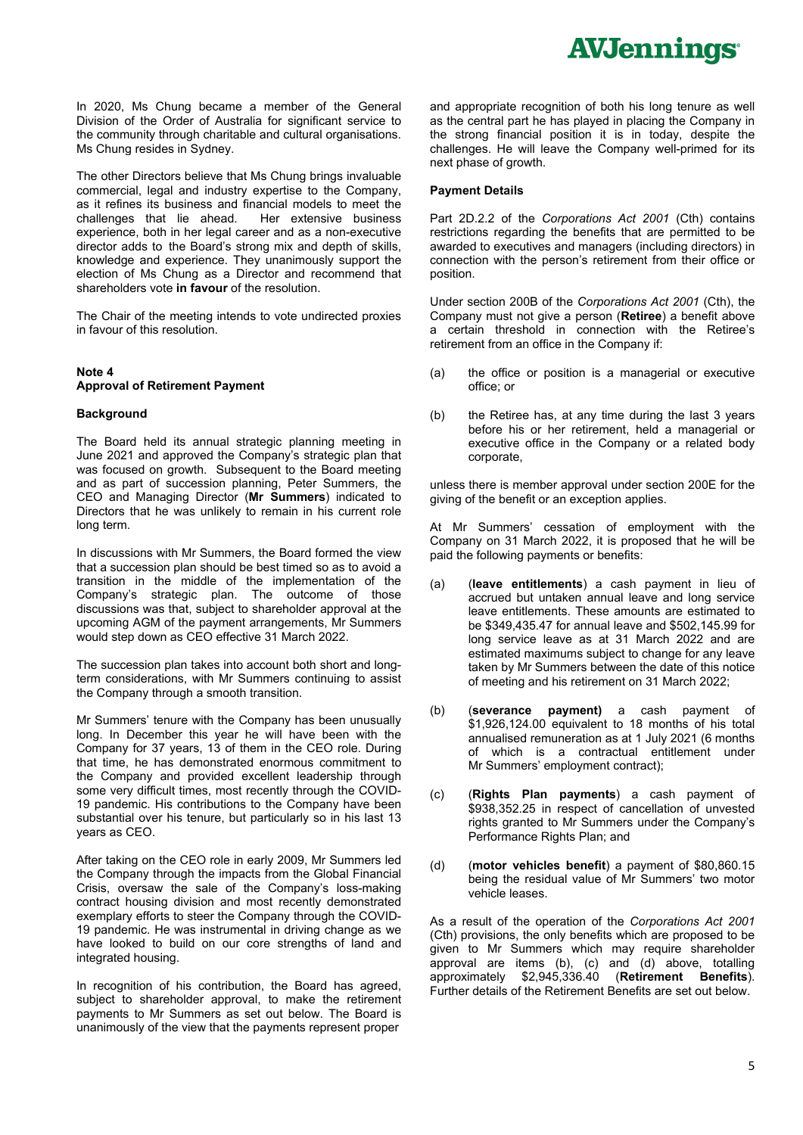In 2020, Ms Chung became a member of the General Division of the Order of Australia for significant service to the community through charitable and cultural organisations. Ms Chung resides in Sydney.

The other Directors believe that Ms Chung brings invaluable commercial, legal and industry expertise to the Company, as it refines its business and financial models to meet the challenges that lie ahead. Her extensive business challenges that lie ahead. experience, both in her legal career and as a non-executive director adds to the Board's strong mix and depth of skills, knowledge and experience. They unanimously support the election of Ms Chung as a Director and recommend that shareholders vote **in favour** of the resolution.

The Chair of the meeting intends to vote undirected proxies in favour of this resolution.

#### **Note 4 Approval of Retirement Payment**

#### **Background**

The Board held its annual strategic planning meeting in June 2021 and approved the Company's strategic plan that was focused on growth. Subsequent to the Board meeting and as part of succession planning, Peter Summers, the CEO and Managing Director (**Mr Summers**) indicated to Directors that he was unlikely to remain in his current role long term.

In discussions with Mr Summers, the Board formed the view that a succession plan should be best timed so as to avoid a transition in the middle of the implementation of the Company's strategic plan. The outcome of those discussions was that, subject to shareholder approval at the upcoming AGM of the payment arrangements, Mr Summers would step down as CEO effective 31 March 2022.

The succession plan takes into account both short and longterm considerations, with Mr Summers continuing to assist the Company through a smooth transition.

Mr Summers' tenure with the Company has been unusually long. In December this year he will have been with the Company for 37 years, 13 of them in the CEO role. During that time, he has demonstrated enormous commitment to the Company and provided excellent leadership through some very difficult times, most recently through the COVID-19 pandemic. His contributions to the Company have been substantial over his tenure, but particularly so in his last 13 years as CEO.

After taking on the CEO role in early 2009, Mr Summers led the Company through the impacts from the Global Financial Crisis, oversaw the sale of the Company's loss-making contract housing division and most recently demonstrated exemplary efforts to steer the Company through the COVID-19 pandemic. He was instrumental in driving change as we have looked to build on our core strengths of land and integrated housing.

In recognition of his contribution, the Board has agreed, subject to shareholder approval, to make the retirement payments to Mr Summers as set out below. The Board is unanimously of the view that the payments represent proper

and appropriate recognition of both his long tenure as well as the central part he has played in placing the Company in the strong financial position it is in today, despite the challenges. He will leave the Company well-primed for its next phase of growth.

#### **Payment Details**

Part 2D.2.2 of the *Corporations Act 2001* (Cth) contains restrictions regarding the benefits that are permitted to be awarded to executives and managers (including directors) in connection with the person's retirement from their office or position.

Under section 200B of the *Corporations Act 2001* (Cth), the Company must not give a person (**Retiree**) a benefit above a certain threshold in connection with the Retiree's retirement from an office in the Company if:

- (a) the office or position is a managerial or executive office; or
- (b) the Retiree has, at any time during the last 3 years before his or her retirement, held a managerial or executive office in the Company or a related body corporate,

unless there is member approval under section 200E for the giving of the benefit or an exception applies.

At Mr Summers' cessation of employment with the Company on 31 March 2022, it is proposed that he will be paid the following payments or benefits:

- (a) (**leave entitlements**) a cash payment in lieu of accrued but untaken annual leave and long service leave entitlements. These amounts are estimated to be \$349,435.47 for annual leave and \$502,145.99 for long service leave as at 31 March 2022 and are estimated maximums subject to change for any leave taken by Mr Summers between the date of this notice of meeting and his retirement on 31 March 2022;
- (b) (**severance payment)** a cash payment of \$1,926,124.00 equivalent to 18 months of his total annualised remuneration as at 1 July 2021 (6 months of which is a contractual entitlement under Mr Summers' employment contract);
- (c) (**Rights Plan payments**) a cash payment of \$938,352.25 in respect of cancellation of unvested rights granted to Mr Summers under the Company's Performance Rights Plan; and
- (d) (**motor vehicles benefit**) a payment of \$80,860.15 being the residual value of Mr Summers' two motor vehicle leases.

As a result of the operation of the *Corporations Act 2001* (Cth) provisions, the only benefits which are proposed to be given to Mr Summers which may require shareholder approval are items (b), (c) and (d) above, totalling approximately \$2,945,336.40 (**Retirement Benefits**). Further details of the Retirement Benefits are set out below.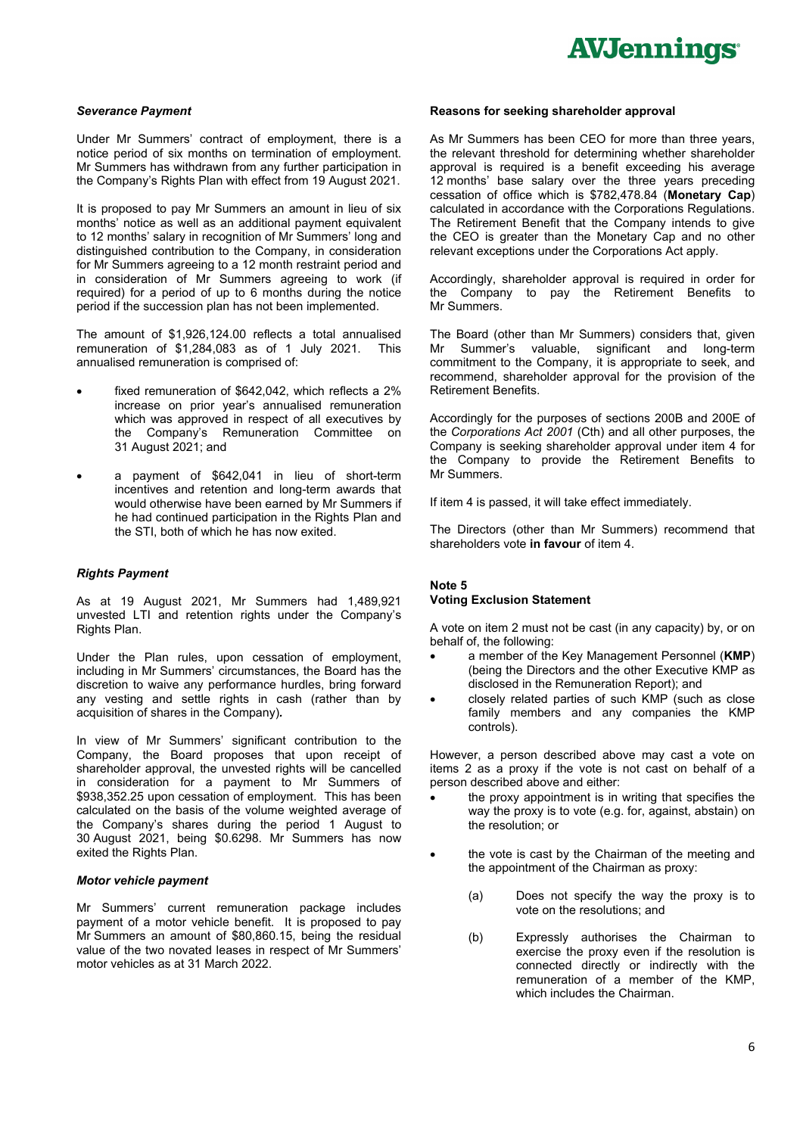#### *Severance Payment*

Under Mr Summers' contract of employment, there is a notice period of six months on termination of employment. Mr Summers has withdrawn from any further participation in the Company's Rights Plan with effect from 19 August 2021.

It is proposed to pay Mr Summers an amount in lieu of six months' notice as well as an additional payment equivalent to 12 months' salary in recognition of Mr Summers' long and distinguished contribution to the Company, in consideration for Mr Summers agreeing to a 12 month restraint period and in consideration of Mr Summers agreeing to work (if required) for a period of up to 6 months during the notice period if the succession plan has not been implemented.

The amount of \$1,926,124.00 reflects a total annualised remuneration of \$1,284,083 as of 1 July 2021. This annualised remuneration is comprised of:

- fixed remuneration of \$642,042, which reflects a 2% increase on prior year's annualised remuneration which was approved in respect of all executives by the Company's Remuneration Committee on 31 August 2021; and
- a payment of \$642,041 in lieu of short-term incentives and retention and long-term awards that would otherwise have been earned by Mr Summers if he had continued participation in the Rights Plan and the STI, both of which he has now exited.

#### *Rights Payment*

As at 19 August 2021, Mr Summers had 1,489,921 unvested LTI and retention rights under the Company's Rights Plan.

Under the Plan rules, upon cessation of employment, including in Mr Summers' circumstances, the Board has the discretion to waive any performance hurdles, bring forward any vesting and settle rights in cash (rather than by acquisition of shares in the Company)*.*

In view of Mr Summers' significant contribution to the Company, the Board proposes that upon receipt of shareholder approval, the unvested rights will be cancelled in consideration for a payment to Mr Summers of \$938,352.25 upon cessation of employment. This has been calculated on the basis of the volume weighted average of the Company's shares during the period 1 August to 30 August 2021, being \$0.6298. Mr Summers has now exited the Rights Plan.

#### *Motor vehicle payment*

Mr Summers' current remuneration package includes payment of a motor vehicle benefit. It is proposed to pay Mr Summers an amount of \$80,860.15, being the residual value of the two novated leases in respect of Mr Summers' motor vehicles as at 31 March 2022.

#### **Reasons for seeking shareholder approval**

As Mr Summers has been CEO for more than three years, the relevant threshold for determining whether shareholder approval is required is a benefit exceeding his average 12 months' base salary over the three years preceding cessation of office which is \$782,478.84 (**Monetary Cap**) calculated in accordance with the Corporations Regulations. The Retirement Benefit that the Company intends to give the CEO is greater than the Monetary Cap and no other relevant exceptions under the Corporations Act apply.

Accordingly, shareholder approval is required in order for the Company to pay the Retirement Benefits to Mr Summers.

The Board (other than Mr Summers) considers that, given Mr Summer's valuable, significant and long-term commitment to the Company, it is appropriate to seek, and recommend, shareholder approval for the provision of the Retirement Benefits.

Accordingly for the purposes of sections 200B and 200E of the *Corporations Act 2001* (Cth) and all other purposes, the Company is seeking shareholder approval under item 4 for the Company to provide the Retirement Benefits to Mr Summers.

If item 4 is passed, it will take effect immediately.

The Directors (other than Mr Summers) recommend that shareholders vote **in favour** of item 4.

#### **Note 5**

#### **Voting Exclusion Statement**

A vote on item 2 must not be cast (in any capacity) by, or on behalf of, the following:

- a member of the Key Management Personnel (**KMP**) (being the Directors and the other Executive KMP as disclosed in the Remuneration Report); and
- closely related parties of such KMP (such as close family members and any companies the KMP controls).

However, a person described above may cast a vote on items 2 as a proxy if the vote is not cast on behalf of a person described above and either:

- the proxy appointment is in writing that specifies the way the proxy is to vote (e.g. for, against, abstain) on the resolution; or
- the vote is cast by the Chairman of the meeting and the appointment of the Chairman as proxy:
	- (a) Does not specify the way the proxy is to vote on the resolutions; and
	- (b) Expressly authorises the Chairman to exercise the proxy even if the resolution is connected directly or indirectly with the remuneration of a member of the KMP, which includes the Chairman.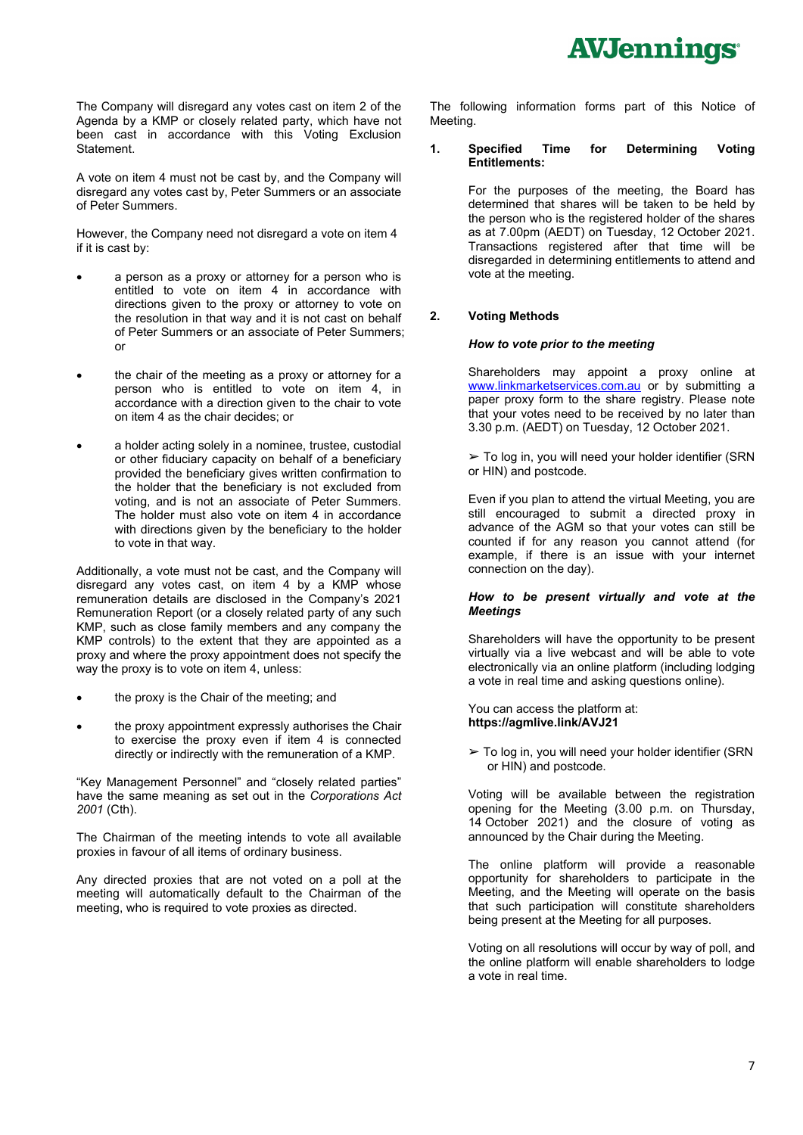The Company will disregard any votes cast on item 2 of the Agenda by a KMP or closely related party, which have not been cast in accordance with this Voting Exclusion Statement.

A vote on item 4 must not be cast by, and the Company will disregard any votes cast by, Peter Summers or an associate of Peter Summers.

However, the Company need not disregard a vote on item 4 if it is cast by:

- a person as a proxy or attorney for a person who is entitled to vote on item 4 in accordance with directions given to the proxy or attorney to vote on the resolution in that way and it is not cast on behalf of Peter Summers or an associate of Peter Summers; or
- the chair of the meeting as a proxy or attorney for a person who is entitled to vote on item 4, in accordance with a direction given to the chair to vote on item 4 as the chair decides; or
- a holder acting solely in a nominee, trustee, custodial or other fiduciary capacity on behalf of a beneficiary provided the beneficiary gives written confirmation to the holder that the beneficiary is not excluded from voting, and is not an associate of Peter Summers. The holder must also vote on item 4 in accordance with directions given by the beneficiary to the holder to vote in that way.

Additionally, a vote must not be cast, and the Company will disregard any votes cast, on item 4 by a KMP whose remuneration details are disclosed in the Company's 2021 Remuneration Report (or a closely related party of any such KMP, such as close family members and any company the KMP controls) to the extent that they are appointed as a proxy and where the proxy appointment does not specify the way the proxy is to vote on item 4, unless:

- the proxy is the Chair of the meeting; and
- the proxy appointment expressly authorises the Chair to exercise the proxy even if item 4 is connected directly or indirectly with the remuneration of a KMP.

"Key Management Personnel" and "closely related parties" have the same meaning as set out in the *Corporations Act 2001* (Cth).

The Chairman of the meeting intends to vote all available proxies in favour of all items of ordinary business.

Any directed proxies that are not voted on a poll at the meeting will automatically default to the Chairman of the meeting, who is required to vote proxies as directed.

The following information forms part of this Notice of Meeting.

#### **1. Specified Time for Determining Voting Entitlements:**

For the purposes of the meeting, the Board has determined that shares will be taken to be held by the person who is the registered holder of the shares as at 7.00pm (AEDT) on Tuesday, 12 October 2021. Transactions registered after that time will be disregarded in determining entitlements to attend and vote at the meeting.

#### **2. Voting Methods**

#### *How to vote prior to the meeting*

Shareholders may appoint a proxy online at www.linkmarketservices.com.au or by submitting a paper proxy form to the share registry. Please note that your votes need to be received by no later than 3.30 p.m. (AEDT) on Tuesday, 12 October 2021.

 $\geq$  To log in, you will need your holder identifier (SRN or HIN) and postcode.

Even if you plan to attend the virtual Meeting, you are still encouraged to submit a directed proxy in advance of the AGM so that your votes can still be counted if for any reason you cannot attend (for example, if there is an issue with your internet connection on the day).

#### *How to be present virtually and vote at the Meetings*

Shareholders will have the opportunity to be present virtually via a live webcast and will be able to vote electronically via an online platform (including lodging a vote in real time and asking questions online).

You can access the platform at: **https://agmlive.link/AVJ21** 

 $\geq$  To log in, you will need your holder identifier (SRN or HIN) and postcode.

Voting will be available between the registration opening for the Meeting (3.00 p.m. on Thursday, 14 October 2021) and the closure of voting as announced by the Chair during the Meeting.

The online platform will provide a reasonable opportunity for shareholders to participate in the Meeting, and the Meeting will operate on the basis that such participation will constitute shareholders being present at the Meeting for all purposes.

Voting on all resolutions will occur by way of poll, and the online platform will enable shareholders to lodge a vote in real time.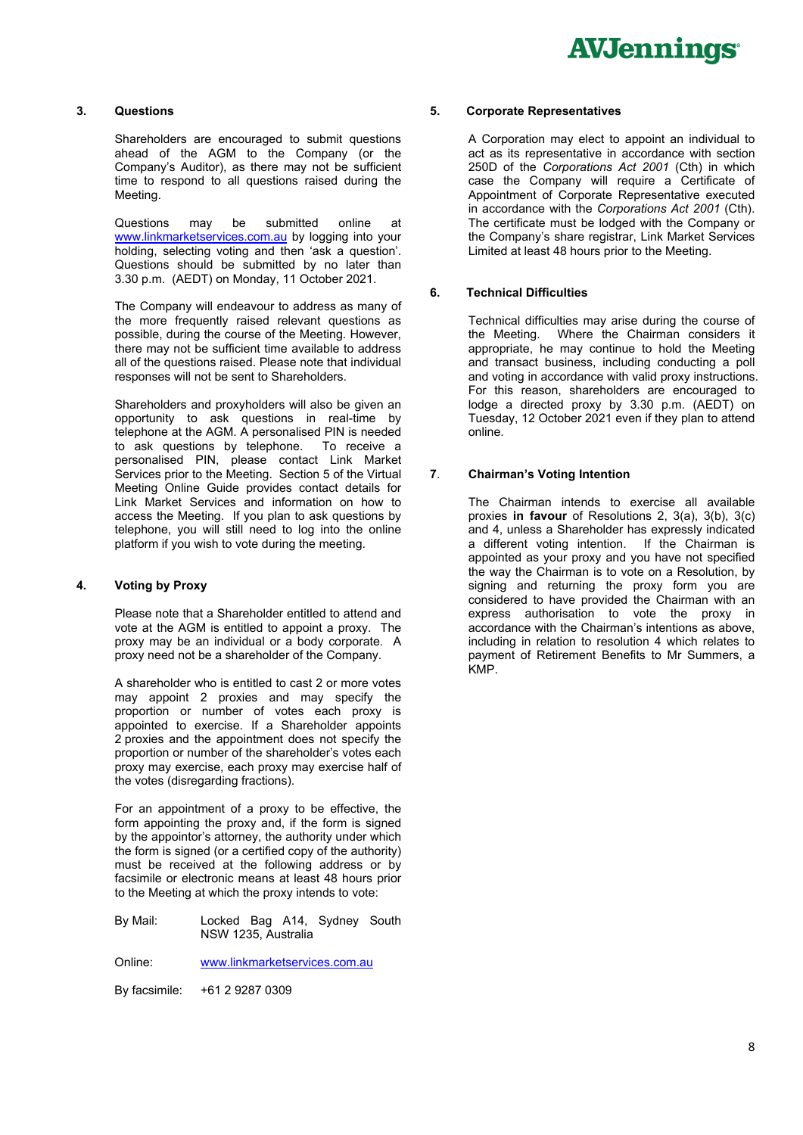#### **3. Questions**

Shareholders are encouraged to submit questions ahead of the AGM to the Company (or the Company's Auditor), as there may not be sufficient time to respond to all questions raised during the Meeting.

Questions may be submitted online at www.linkmarketservices.com.au by logging into your holding, selecting voting and then 'ask a question'. Questions should be submitted by no later than 3.30 p.m. (AEDT) on Monday, 11 October 2021.

The Company will endeavour to address as many of the more frequently raised relevant questions as possible, during the course of the Meeting. However, there may not be sufficient time available to address all of the questions raised. Please note that individual responses will not be sent to Shareholders.

Shareholders and proxyholders will also be given an opportunity to ask questions in real-time by telephone at the AGM. A personalised PIN is needed to ask questions by telephone. To receive a personalised PIN, please contact Link Market Services prior to the Meeting. Section 5 of the Virtual Meeting Online Guide provides contact details for Link Market Services and information on how to access the Meeting. If you plan to ask questions by telephone, you will still need to log into the online platform if you wish to vote during the meeting.

#### **4. Voting by Proxy**

Please note that a Shareholder entitled to attend and vote at the AGM is entitled to appoint a proxy. The proxy may be an individual or a body corporate. A proxy need not be a shareholder of the Company.

A shareholder who is entitled to cast 2 or more votes may appoint 2 proxies and may specify the proportion or number of votes each proxy is appointed to exercise. If a Shareholder appoints 2 proxies and the appointment does not specify the proportion or number of the shareholder's votes each proxy may exercise, each proxy may exercise half of the votes (disregarding fractions).

For an appointment of a proxy to be effective, the form appointing the proxy and, if the form is signed by the appointor's attorney, the authority under which the form is signed (or a certified copy of the authority) must be received at the following address or by facsimile or electronic means at least 48 hours prior to the Meeting at which the proxy intends to vote:

By Mail: Locked Bag A14, Sydney South NSW 1235, Australia

Online: www.linkmarketservices.com.au

By facsimile: +61 2 9287 0309

#### **5. Corporate Representatives**

A Corporation may elect to appoint an individual to act as its representative in accordance with section 250D of the *Corporations Act 2001* (Cth) in which case the Company will require a Certificate of Appointment of Corporate Representative executed in accordance with the *Corporations Act 2001* (Cth). The certificate must be lodged with the Company or the Company's share registrar, Link Market Services Limited at least 48 hours prior to the Meeting.

#### **6. Technical Difficulties**

Technical difficulties may arise during the course of the Meeting. Where the Chairman considers it appropriate, he may continue to hold the Meeting and transact business, including conducting a poll and voting in accordance with valid proxy instructions. For this reason, shareholders are encouraged to lodge a directed proxy by 3.30 p.m. (AEDT) on Tuesday, 12 October 2021 even if they plan to attend online.

#### **7**. **Chairman's Voting Intention**

The Chairman intends to exercise all available proxies **in favour** of Resolutions 2, 3(a), 3(b), 3(c) and 4, unless a Shareholder has expressly indicated a different voting intention. If the Chairman is appointed as your proxy and you have not specified the way the Chairman is to vote on a Resolution, by signing and returning the proxy form you are considered to have provided the Chairman with an express authorisation to vote the proxy in accordance with the Chairman's intentions as above, including in relation to resolution 4 which relates to payment of Retirement Benefits to Mr Summers, a KMP.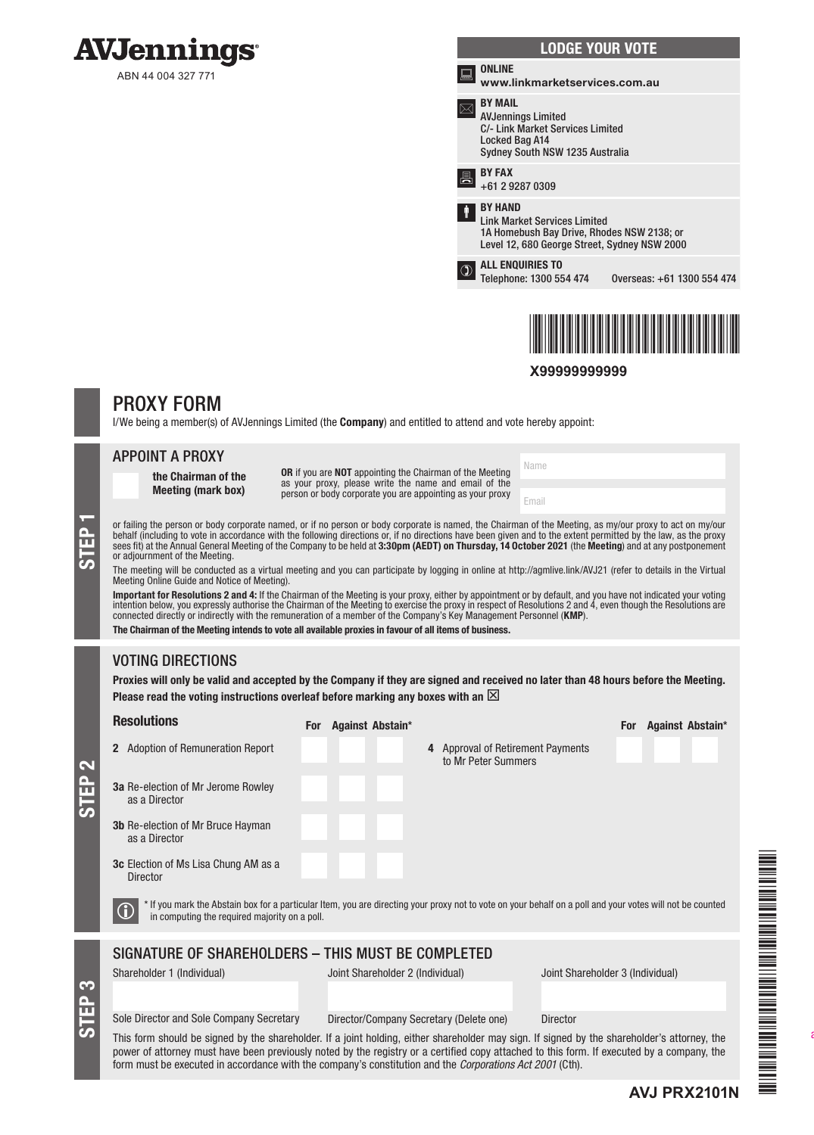

|      | <b>LODGE YOUR VOTE</b>                                                                                                                              |                            |
|------|-----------------------------------------------------------------------------------------------------------------------------------------------------|----------------------------|
| خصته | <b>ONLINE</b><br>www.linkmarketservices.com.au                                                                                                      |                            |
|      | <b>BY MAIL</b><br><b>AVJennings Limited</b><br><b>C/- Link Market Services Limited</b><br>Locked Bag A14<br>Sydney South NSW 1235 Australia         |                            |
| 昌    | <b>BY FAX</b><br>+61 2 9287 0309                                                                                                                    |                            |
| I    | <b>BY HAND</b><br><b>Link Market Services Limited</b><br>1A Homebush Bay Drive, Rhodes NSW 2138; or<br>Level 12, 680 George Street, Sydney NSW 2000 |                            |
|      | <b>ALL ENQUIRIES TO</b><br>Telephone: 1300 554 474                                                                                                  | Overseas: +61 1300 554 474 |
|      |                                                                                                                                                     |                            |



### **X99999999999**

Name

Email

## PROXY FORM

I/We being a member(s) of AVJennings Limited (the **Company**) and entitled to attend and vote hereby appoint:

### APPOINT A PROXY

the Chairman of the Meeting (mark box)

OR if you are NOT appointing the Chairman of the Meeting as your proxy, please write the name and email of the person or body corporate you are appointing as your proxy

or failing the person or body corporate named, or if no person or body corporate is named, the Chairman of the Meeting, as my/our proxy to act on my/our behalf (including to vote in accordance with the following directions behalf (including to vote in accordance with the following directions or, if no directions have been given and to the extent permitted by the law, as the proxy sees fit) at the Annual General Meeting of the Company to be held at **3:30pm (AEDT) on Thursday, 14 October 2021** (the **Meeting**) and at any postponement or adjournment of the Meeting.

The meeting will be conducted as a virtual meeting and you can participate by logging in online at http://agmlive.link/AVJ21 (refer to details in the Virtual Meeting Online Guide and Notice of Meeting).

**Important for Resolutions 2 and 4:** If the Chairman of the Meeting is your proxy, either by appointment or by default, and you have not indicated your voting<br>intention below, you expressly authorise the Chairman of the Me connected directly or indirectly with the remuneration of a member of the Company's Key Management Personnel (KMP).

The Chairman of the Meeting intends to vote all available proxies in favour of all items of business.

## VOTING DIRECTIONS

Proxies will only be valid and accepted by the Company if they are signed and received no later than 48 hours before the Meeting. Please read the voting instructions overleaf before marking any boxes with an  $\boxtimes$ 

| <b>Resolutions</b>                                                                                                                                                                                         | <b>For</b> | <b>Against Abstain*</b>                 | <b>Against Abstain*</b><br><b>For</b>                                                                                                                                                                                                                                                      |  |  |
|------------------------------------------------------------------------------------------------------------------------------------------------------------------------------------------------------------|------------|-----------------------------------------|--------------------------------------------------------------------------------------------------------------------------------------------------------------------------------------------------------------------------------------------------------------------------------------------|--|--|
| <b>Adoption of Remuneration Report</b><br>$\mathbf{2}$                                                                                                                                                     |            |                                         | 4 Approval of Retirement Payments<br>to Mr Peter Summers                                                                                                                                                                                                                                   |  |  |
| <b>3a</b> Re-election of Mr Jerome Rowley<br>as a Director                                                                                                                                                 |            |                                         |                                                                                                                                                                                                                                                                                            |  |  |
| <b>3b</b> Re-election of Mr Bruce Hayman<br>as a Director                                                                                                                                                  |            |                                         |                                                                                                                                                                                                                                                                                            |  |  |
| <b>3c</b> Election of Ms Lisa Chung AM as a<br>Director                                                                                                                                                    |            |                                         |                                                                                                                                                                                                                                                                                            |  |  |
| * If you mark the Abstain box for a particular Item, you are directing your proxy not to vote on your behalf on a poll and your votes will not be counted<br>in computing the required majority on a poll. |            |                                         |                                                                                                                                                                                                                                                                                            |  |  |
| SIGNATURE OF SHAREHOLDERS - THIS MUST BE COMPLETED                                                                                                                                                         |            |                                         |                                                                                                                                                                                                                                                                                            |  |  |
| Shareholder 1 (Individual)                                                                                                                                                                                 |            | Joint Shareholder 2 (Individual)        | Joint Shareholder 3 (Individual)                                                                                                                                                                                                                                                           |  |  |
|                                                                                                                                                                                                            |            |                                         |                                                                                                                                                                                                                                                                                            |  |  |
| Sole Director and Sole Company Secretary                                                                                                                                                                   |            | Director/Company Secretary (Delete one) | <b>Director</b>                                                                                                                                                                                                                                                                            |  |  |
| form must be executed in accordance with the company's constitution and the <i>Corporations Act 2001</i> (Cth).                                                                                            |            |                                         | This form should be signed by the shareholder. If a joint holding, either shareholder may sign. If signed by the shareholder's attorney, the<br>power of attorney must have been previously noted by the registry or a certified copy attached to this form. If executed by a company, the |  |  |

STEP 3

STEP 2

**AVJ PRX2101N**

\*AVION PRESENTATION PROTECTIVE PROPERTY AND ALL AND ALL AND ALL AND ALL AND ALL AND ALL AND ALL AND ALL AND ALL

UM PARTIE DE LA BARBARA DE L'ANGERE DE LA BARBARA DE L'ANGERE DE L'ANGER DE L'ANGER DE LA BARBARA DE L'ANGER D

all shareholders must sign